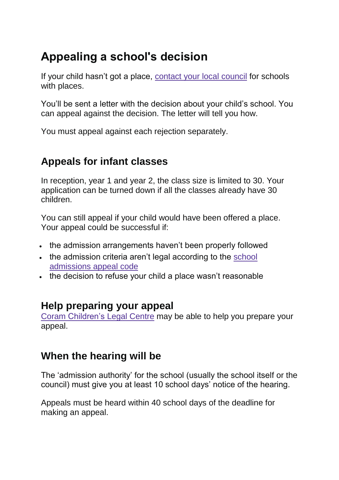# **Appealing a school's decision**

If your child hasn't got a place, [contact](https://www.gov.uk/find-your-local-council) your local council for schools with places.

You'll be sent a letter with the decision about your child's school. You can appeal against the decision. The letter will tell you how.

You must appeal against each rejection separately.

## **Appeals for infant classes**

In reception, year 1 and year 2, the class size is limited to 30. Your application can be turned down if all the classes already have 30 children.

You can still appeal if your child would have been offered a place. Your appeal could be successful if:

- the admission arrangements haven't been properly followed
- . the admission criteria aren't legal according to the [school](https://www.gov.uk/government/publications/school-admissions-appeals-code) [admissions](https://www.gov.uk/government/publications/school-admissions-appeals-code) appeal code
- the decision to refuse your child a place wasn't reasonable

### **Help preparing your appeal**

Coram [Children's](http://www.childrenslegalcentre.com/index.php?page=education_legal_practice) Legal Centre may be able to help you prepare your appeal.

### **When the hearing will be**

The 'admission authority' for the school (usually the school itself or the council) must give you at least 10 school days' notice of the hearing.

Appeals must be heard within 40 school days of the deadline for making an appeal.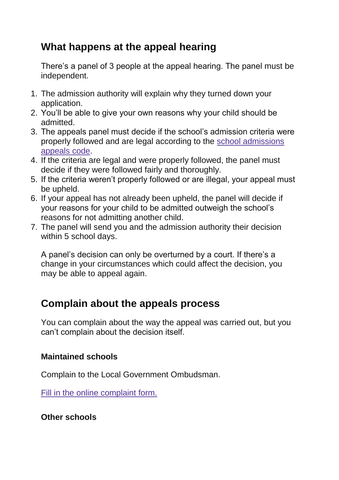# **What happens at the appeal hearing**

There's a panel of 3 people at the appeal hearing. The panel must be independent.

- 1. The admission authority will explain why they turned down your application.
- 2. You'll be able to give your own reasons why your child should be admitted.
- 3. The appeals panel must decide if the school's admission criteria were properly followed and are legal according to the school [admissions](https://www.gov.uk/government/publications/school-admissions-appeals-code) [appeals](https://www.gov.uk/government/publications/school-admissions-appeals-code) code.
- 4. If the criteria are legal and were properly followed, the panel must decide if they were followed fairly and thoroughly.
- 5. If the criteria weren't properly followed or are illegal, your appeal must be upheld.
- 6. If your appeal has not already been upheld, the panel will decide if your reasons for your child to be admitted outweigh the school's reasons for not admitting another child.
- 7. The panel will send you and the admission authority their decision within 5 school days.

A panel's decision can only be overturned by a court. If there's a change in your circumstances which could affect the decision, you may be able to appeal again.

## **Complain about the appeals process**

You can complain about the way the appeal was carried out, but you can't complain about the decision itself.

#### **Maintained schools**

Complain to the Local Government Ombudsman.

Fill in the online [complaint](http://www.lgo.org.uk/forms/ShowForm.asp?fm_fid=62) form.

#### **Other schools**